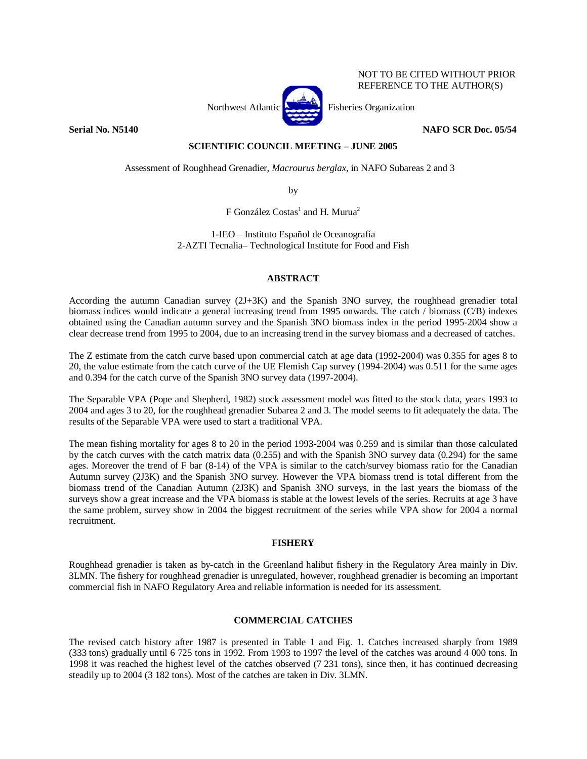

NOT TO BE CITED WITHOUT PRIOR REFERENCE TO THE AUTHOR(S)

**Serial No. N5140** NAFO SCR Doc. 05/54

# **SCIENTIFIC COUNCIL MEETING – JUNE 2005**

Assessment of Roughhead Grenadier, *Macrourus berglax*, in NAFO Subareas 2 and 3

by

F González Costas<sup>1</sup> and H. Murua<sup>2</sup>

1-IEO – Instituto Español de Oceanografía 2-AZTI Tecnalia– Technological Institute for Food and Fish

# **ABSTRACT**

According the autumn Canadian survey (2J+3K) and the Spanish 3NO survey, the roughhead grenadier total biomass indices would indicate a general increasing trend from 1995 onwards. The catch / biomass (C/B) indexes obtained using the Canadian autumn survey and the Spanish 3NO biomass index in the period 1995-2004 show a clear decrease trend from 1995 to 2004, due to an increasing trend in the survey biomass and a decreased of catches.

The Z estimate from the catch curve based upon commercial catch at age data (1992-2004) was 0.355 for ages 8 to 20, the value estimate from the catch curve of the UE Flemish Cap survey (1994-2004) was 0.511 for the same ages and 0.394 for the catch curve of the Spanish 3NO survey data (1997-2004).

The Separable VPA (Pope and Shepherd, 1982) stock assessment model was fitted to the stock data, years 1993 to 2004 and ages 3 to 20, for the roughhead grenadier Subarea 2 and 3. The model seems to fit adequately the data. The results of the Separable VPA were used to start a traditional VPA.

The mean fishing mortality for ages 8 to 20 in the period 1993-2004 was 0.259 and is similar than those calculated by the catch curves with the catch matrix data (0.255) and with the Spanish 3NO survey data (0.294) for the same ages. Moreover the trend of F bar (8-14) of the VPA is similar to the catch/survey biomass ratio for the Canadian Autumn survey (2J3K) and the Spanish 3NO survey. However the VPA biomass trend is total different from the biomass trend of the Canadian Autumn (2J3K) and Spanish 3NO surveys, in the last years the biomass of the surveys show a great increase and the VPA biomass is stable at the lowest levels of the series. Recruits at age 3 have the same problem, survey show in 2004 the biggest recruitment of the series while VPA show for 2004 a normal recruitment.

# **FISHERY**

Roughhead grenadier is taken as by-catch in the Greenland halibut fishery in the Regulatory Area mainly in Div. 3LMN. The fishery for roughhead grenadier is unregulated, however, roughhead grenadier is becoming an important commercial fish in NAFO Regulatory Area and reliable information is needed for its assessment.

# **COMMERCIAL CATCHES**

The revised catch history after 1987 is presented in Table 1 and Fig. 1. Catches increased sharply from 1989 (333 tons) gradually until 6 725 tons in 1992. From 1993 to 1997 the level of the catches was around 4 000 tons. In 1998 it was reached the highest level of the catches observed (7 231 tons), since then, it has continued decreasing steadily up to 2004 (3 182 tons). Most of the catches are taken in Div. 3LMN.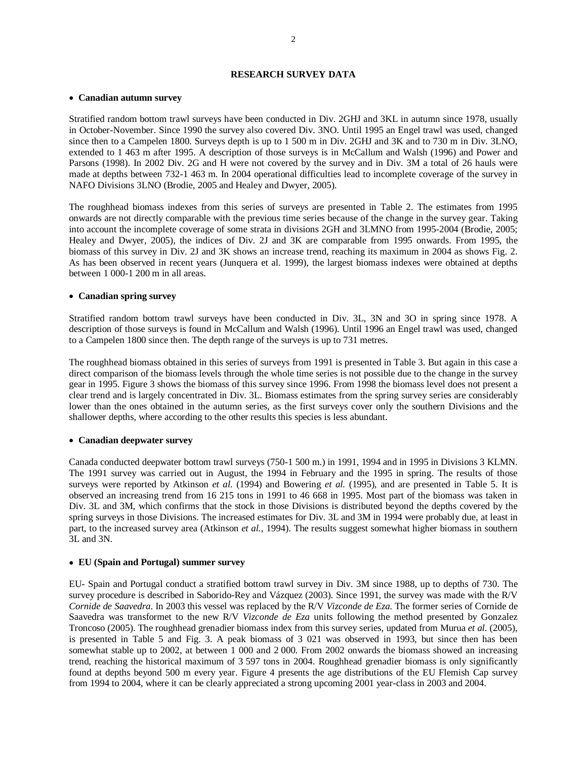# **RESEARCH SURVEY DATA**

### • **Canadian autumn survey**

Stratified random bottom trawl surveys have been conducted in Div. 2GHJ and 3KL in autumn since 1978, usually in October-November. Since 1990 the survey also covered Div. 3NO. Until 1995 an Engel trawl was used, changed since then to a Campelen 1800. Surveys depth is up to 1 500 m in Div. 2GHJ and 3K and to 730 m in Div. 3LNO, extended to 1 463 m after 1995. A description of those surveys is in McCallum and Walsh (1996) and Power and Parsons (1998). In 2002 Div. 2G and H were not covered by the survey and in Div. 3M a total of 26 hauls were made at depths between 732-1 463 m. In 2004 operational difficulties lead to incomplete coverage of the survey in NAFO Divisions 3LNO (Brodie, 2005 and Healey and Dwyer, 2005).

The roughhead biomass indexes from this series of surveys are presented in Table 2. The estimates from 1995 onwards are not directly comparable with the previous time series because of the change in the survey gear. Taking into account the incomplete coverage of some strata in divisions 2GH and 3LMNO from 1995-2004 (Brodie, 2005; Healey and Dwyer, 2005), the indices of Div. 2J and 3K are comparable from 1995 onwards. From 1995, the biomass of this survey in Div. 2J and 3K shows an increase trend, reaching its maximum in 2004 as shows Fig. 2. As has been observed in recent years (Junquera et al. 1999), the largest biomass indexes were obtained at depths between 1 000-1 200 m in all areas.

## • **Canadian spring survey**

Stratified random bottom trawl surveys have been conducted in Div. 3L, 3N and 3O in spring since 1978. A description of those surveys is found in McCallum and Walsh (1996). Until 1996 an Engel trawl was used, changed to a Campelen 1800 since then. The depth range of the surveys is up to 731 metres.

The roughhead biomass obtained in this series of surveys from 1991 is presented in Table 3. But again in this case a direct comparison of the biomass levels through the whole time series is not possible due to the change in the survey gear in 1995. Figure 3 shows the biomass of this survey since 1996. From 1998 the biomass level does not present a clear trend and is largely concentrated in Div. 3L. Biomass estimates from the spring survey series are considerably lower than the ones obtained in the autumn series, as the first surveys cover only the southern Divisions and the shallower depths, where according to the other results this species is less abundant.

## • **Canadian deepwater survey**

Canada conducted deepwater bottom trawl surveys (750-1 500 m.) in 1991, 1994 and in 1995 in Divisions 3 KLMN. The 1991 survey was carried out in August, the 1994 in February and the 1995 in spring. The results of those surveys were reported by Atkinson *et al*. (1994) and Bowering *et al.* (1995), and are presented in Table 5. It is observed an increasing trend from 16 215 tons in 1991 to 46 668 in 1995. Most part of the biomass was taken in Div. 3L and 3M, which confirms that the stock in those Divisions is distributed beyond the depths covered by the spring surveys in those Divisions. The increased estimates for Div. 3L and 3M in 1994 were probably due, at least in part, to the increased survey area (Atkinson *et al.*, 1994). The results suggest somewhat higher biomass in southern 3L and 3N.

#### • **EU (Spain and Portugal) summer survey**

EU- Spain and Portugal conduct a stratified bottom trawl survey in Div. 3M since 1988, up to depths of 730. The survey procedure is described in Saborido-Rey and Vázquez (2003). Since 1991, the survey was made with the R/V *Cornide de Saavedra*. In 2003 this vessel was replaced by the R/V *Vizconde de Eza*. The former series of Cornide de Saavedra was transformet to the new R/V *Vizconde de Eza* units following the method presented by Gonzalez Troncoso (2005). The roughhead grenadier biomass index from this survey series, updated from Murua *et al.* (2005), is presented in Table 5 and Fig. 3. A peak biomass of 3 021 was observed in 1993, but since then has been somewhat stable up to 2002, at between 1 000 and 2 000. From 2002 onwards the biomass showed an increasing trend, reaching the historical maximum of 3 597 tons in 2004. Roughhead grenadier biomass is only significantly found at depths beyond 500 m every year. Figure 4 presents the age distributions of the EU Flemish Cap survey from 1994 to 2004, where it can be clearly appreciated a strong upcoming 2001 year-class in 2003 and 2004.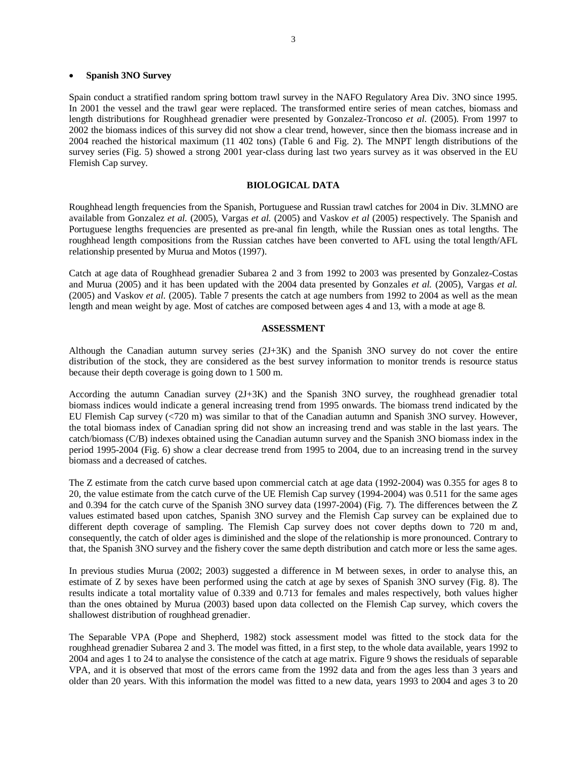### • **Spanish 3NO Survey**

Spain conduct a stratified random spring bottom trawl survey in the NAFO Regulatory Area Div. 3NO since 1995. In 2001 the vessel and the trawl gear were replaced. The transformed entire series of mean catches, biomass and length distributions for Roughhead grenadier were presented by Gonzalez-Troncoso *et al.* (2005). From 1997 to 2002 the biomass indices of this survey did not show a clear trend, however, since then the biomass increase and in 2004 reached the historical maximum (11 402 tons) (Table 6 and Fig. 2). The MNPT length distributions of the survey series (Fig. 5) showed a strong 2001 year-class during last two years survey as it was observed in the EU Flemish Cap survey.

## **BIOLOGICAL DATA**

Roughhead length frequencies from the Spanish, Portuguese and Russian trawl catches for 2004 in Div. 3LMNO are available from Gonzalez *et al.* (2005), Vargas *et al.* (2005) and Vaskov *et al* (2005) respectively. The Spanish and Portuguese lengths frequencies are presented as pre-anal fin length, while the Russian ones as total lengths. The roughhead length compositions from the Russian catches have been converted to AFL using the total length/AFL relationship presented by Murua and Motos (1997).

Catch at age data of Roughhead grenadier Subarea 2 and 3 from 1992 to 2003 was presented by Gonzalez-Costas and Murua (2005) and it has been updated with the 2004 data presented by Gonzales *et al.* (2005), Vargas *et al.* (2005) and Vaskov *et al.* (2005). Table 7 presents the catch at age numbers from 1992 to 2004 as well as the mean length and mean weight by age. Most of catches are composed between ages 4 and 13, with a mode at age 8.

### **ASSESSMENT**

Although the Canadian autumn survey series (2J+3K) and the Spanish 3NO survey do not cover the entire distribution of the stock, they are considered as the best survey information to monitor trends is resource status because their depth coverage is going down to 1 500 m.

According the autumn Canadian survey (2J+3K) and the Spanish 3NO survey, the roughhead grenadier total biomass indices would indicate a general increasing trend from 1995 onwards. The biomass trend indicated by the EU Flemish Cap survey (<720 m) was similar to that of the Canadian autumn and Spanish 3NO survey. However, the total biomass index of Canadian spring did not show an increasing trend and was stable in the last years. The catch/biomass (C/B) indexes obtained using the Canadian autumn survey and the Spanish 3NO biomass index in the period 1995-2004 (Fig. 6) show a clear decrease trend from 1995 to 2004, due to an increasing trend in the survey biomass and a decreased of catches.

The Z estimate from the catch curve based upon commercial catch at age data (1992-2004) was 0.355 for ages 8 to 20, the value estimate from the catch curve of the UE Flemish Cap survey (1994-2004) was 0.511 for the same ages and 0.394 for the catch curve of the Spanish 3NO survey data (1997-2004) (Fig. 7). The differences between the Z values estimated based upon catches, Spanish 3NO survey and the Flemish Cap survey can be explained due to different depth coverage of sampling. The Flemish Cap survey does not cover depths down to 720 m and, consequently, the catch of older ages is diminished and the slope of the relationship is more pronounced. Contrary to that, the Spanish 3NO survey and the fishery cover the same depth distribution and catch more or less the same ages.

In previous studies Murua (2002; 2003) suggested a difference in M between sexes, in order to analyse this, an estimate of Z by sexes have been performed using the catch at age by sexes of Spanish 3NO survey (Fig. 8). The results indicate a total mortality value of 0.339 and 0.713 for females and males respectively, both values higher than the ones obtained by Murua (2003) based upon data collected on the Flemish Cap survey, which covers the shallowest distribution of roughhead grenadier.

The Separable VPA (Pope and Shepherd, 1982) stock assessment model was fitted to the stock data for the roughhead grenadier Subarea 2 and 3. The model was fitted, in a first step, to the whole data available, years 1992 to 2004 and ages 1 to 24 to analyse the consistence of the catch at age matrix. Figure 9 shows the residuals of separable VPA, and it is observed that most of the errors came from the 1992 data and from the ages less than 3 years and older than 20 years. With this information the model was fitted to a new data, years 1993 to 2004 and ages 3 to 20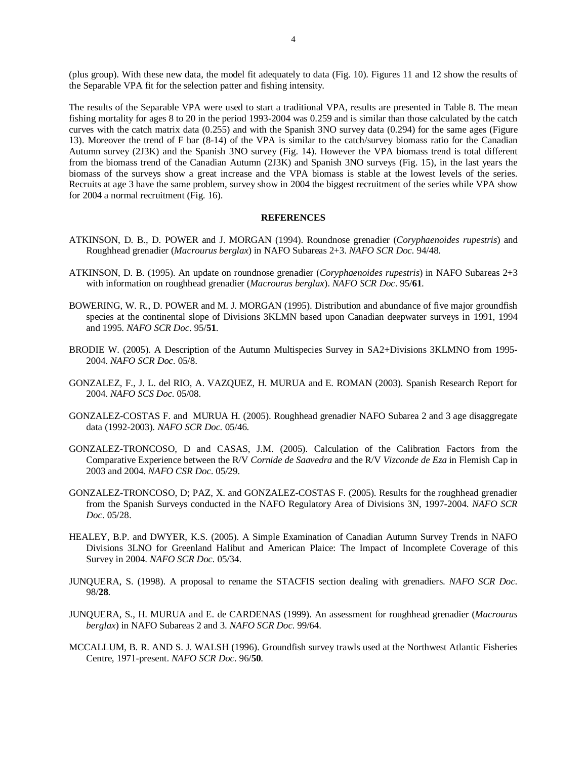(plus group). With these new data, the model fit adequately to data (Fig. 10). Figures 11 and 12 show the results of the Separable VPA fit for the selection patter and fishing intensity.

The results of the Separable VPA were used to start a traditional VPA, results are presented in Table 8. The mean fishing mortality for ages 8 to 20 in the period 1993-2004 was 0.259 and is similar than those calculated by the catch curves with the catch matrix data (0.255) and with the Spanish 3NO survey data (0.294) for the same ages (Figure 13). Moreover the trend of F bar (8-14) of the VPA is similar to the catch/survey biomass ratio for the Canadian Autumn survey (2J3K) and the Spanish 3NO survey (Fig. 14). However the VPA biomass trend is total different from the biomass trend of the Canadian Autumn (2J3K) and Spanish 3NO surveys (Fig. 15), in the last years the biomass of the surveys show a great increase and the VPA biomass is stable at the lowest levels of the series. Recruits at age 3 have the same problem, survey show in 2004 the biggest recruitment of the series while VPA show for 2004 a normal recruitment (Fig. 16).

### **REFERENCES**

- ATKINSON, D. B., D. POWER and J. MORGAN (1994). Roundnose grenadier (*Coryphaenoides rupestris*) and Roughhead grenadier (*Macrourus berglax*) in NAFO Subareas 2+3. *NAFO SCR Doc.* 94/48.
- ATKINSON, D. B. (1995). An update on roundnose grenadier (*Coryphaenoides rupestris*) in NAFO Subareas 2+3 with information on roughhead grenadier (*Macrourus berglax*). *NAFO SCR Doc*. 95/**61**.
- BOWERING, W. R., D. POWER and M. J. MORGAN (1995). Distribution and abundance of five major groundfish species at the continental slope of Divisions 3KLMN based upon Canadian deepwater surveys in 1991, 1994 and 1995. *NAFO SCR Doc*. 95/**51**.
- BRODIE W. (2005). A Description of the Autumn Multispecies Survey in SA2+Divisions 3KLMNO from 1995- 2004. *NAFO SCR Doc.* 05/8.
- GONZALEZ, F., J. L. del RIO, A. VAZQUEZ, H. MURUA and E. ROMAN (2003). Spanish Research Report for 2004. *NAFO SCS Doc*. 05/08.
- GONZALEZ-COSTAS F. and MURUA H. (2005). Roughhead grenadier NAFO Subarea 2 and 3 age disaggregate data (1992-2003). *NAFO SCR Doc.* 05/46.
- GONZALEZ-TRONCOSO, D and CASAS, J.M. (2005). Calculation of the Calibration Factors from the Comparative Experience between the R/V *Cornide de Saavedra* and the R/V *Vizconde de Eza* in Flemish Cap in 2003 and 2004. *NAFO CSR Doc*. 05/29.
- GONZALEZ-TRONCOSO, D; PAZ, X. and GONZALEZ-COSTAS F. (2005). Results for the roughhead grenadier from the Spanish Surveys conducted in the NAFO Regulatory Area of Divisions 3N, 1997-2004. *NAFO SCR Doc.* 05/28.
- HEALEY, B.P. and DWYER, K.S. (2005). A Simple Examination of Canadian Autumn Survey Trends in NAFO Divisions 3LNO for Greenland Halibut and American Plaice: The Impact of Incomplete Coverage of this Survey in 2004. *NAFO SCR Doc.* 05/34.
- JUNQUERA, S. (1998). A proposal to rename the STACFIS section dealing with grenadiers. *NAFO SCR Doc*. 98/**28**.
- JUNQUERA, S., H. MURUA and E. de CARDENAS (1999). An assessment for roughhead grenadier (*Macrourus berglax*) in NAFO Subareas 2 and 3. *NAFO SCR Doc*. 99/64.
- MCCALLUM, B. R. AND S. J. WALSH (1996). Groundfish survey trawls used at the Northwest Atlantic Fisheries Centre, 1971-present. *NAFO SCR Doc*. 96/**50**.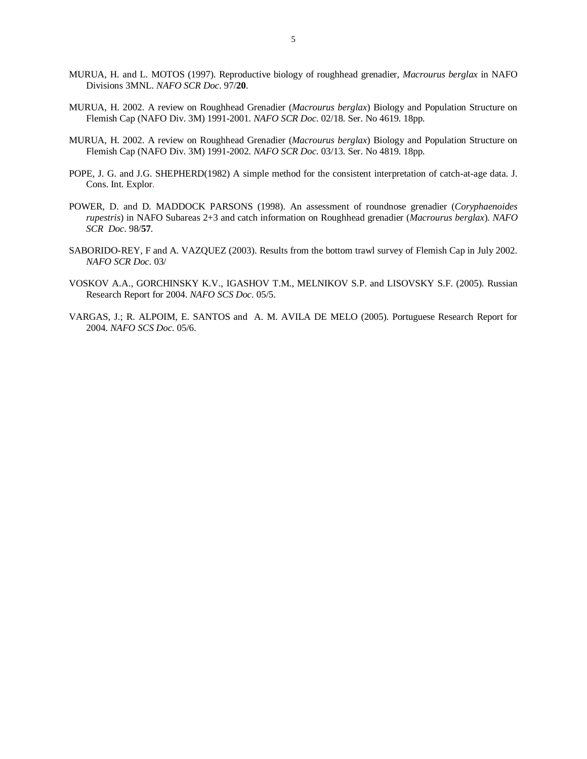- MURUA, H. and L. MOTOS (1997). Reproductive biology of roughhead grenadier, *Macrourus berglax* in NAFO Divisions 3MNL. *NAFO SCR Doc*. 97/**20**.
- MURUA, H. 2002. A review on Roughhead Grenadier (*Macrourus berglax*) Biology and Population Structure on Flemish Cap (NAFO Div. 3M) 1991-2001. *NAFO SCR Doc*. 02/18. Ser. No 4619. 18pp.
- MURUA, H. 2002. A review on Roughhead Grenadier (*Macrourus berglax*) Biology and Population Structure on Flemish Cap (NAFO Div. 3M) 1991-2002. *NAFO SCR Doc*. 03/13. Ser. No 4819. 18pp.
- POPE, J. G. and J.G. SHEPHERD(1982) A simple method for the consistent interpretation of catch-at-age data. J. Cons. Int. Explor.
- POWER, D. and D. MADDOCK PARSONS (1998). An assessment of roundnose grenadier (*Coryphaenoides rupestris*) in NAFO Subareas 2+3 and catch information on Roughhead grenadier (*Macrourus berglax*). *NAFO SCR Doc*. 98/**57**.
- SABORIDO-REY, F and A. VAZQUEZ (2003). Results from the bottom trawl survey of Flemish Cap in July 2002. *NAFO SCR Doc*. 03/
- VOSKOV A.A., GORCHINSKY K.V., IGASHOV T.M., MELNIKOV S.P. and LISOVSKY S.F. (2005). Russian Research Report for 2004. *NAFO SCS Doc.* 05/5.
- VARGAS, J.; R. ALPOIM, E. SANTOS and A. M. AVILA DE MELO (2005). Portuguese Research Report for 2004. *NAFO SCS Doc*. 05/6.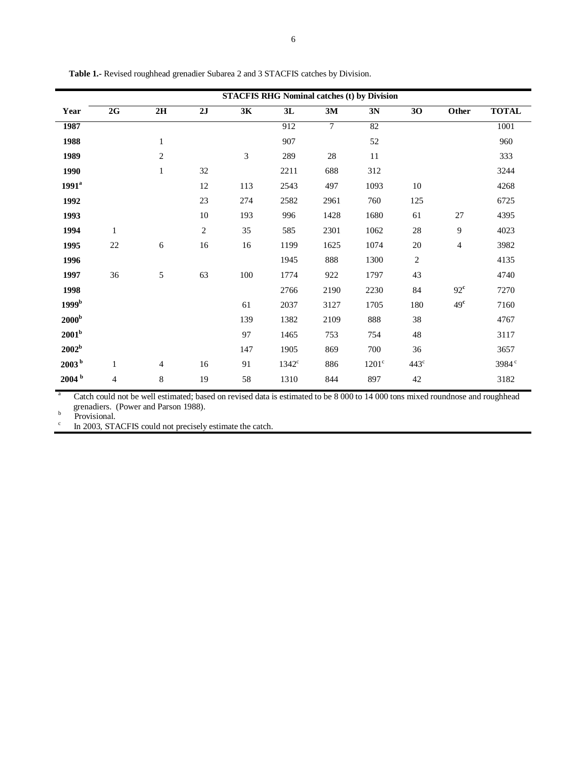| <b>STACFIS RHG Nominal catches (t) by Division</b> |                |                |                  |     |                |        |                |                 |                 |                   |  |
|----------------------------------------------------|----------------|----------------|------------------|-----|----------------|--------|----------------|-----------------|-----------------|-------------------|--|
| Year                                               | 2G             | 2H             | 2J               | 3K  | 3L             | 3M     | 3N             | $\overline{30}$ | Other           | <b>TOTAL</b>      |  |
| 1987                                               |                |                |                  |     | 912            | $\tau$ | 82             |                 |                 | 1001              |  |
| 1988                                               |                | $\mathbf{1}$   |                  |     | 907            |        | 52             |                 |                 | 960               |  |
| 1989                                               |                | $\mathbf{2}$   |                  | 3   | 289            | 28     | 11             |                 |                 | 333               |  |
| 1990                                               |                | $\mathbf{1}$   | 32               |     | 2211           | 688    | 312            |                 |                 | 3244              |  |
| 1991 <sup>a</sup>                                  |                |                | 12               | 113 | 2543           | 497    | 1093           | $10\,$          |                 | 4268              |  |
| 1992                                               |                |                | 23               | 274 | 2582           | 2961   | 760            | 125             |                 | 6725              |  |
| 1993                                               |                |                | 10               | 193 | 996            | 1428   | 1680           | 61              | 27              | 4395              |  |
| 1994                                               | $\mathbf{1}$   |                | $\boldsymbol{2}$ | 35  | 585            | 2301   | 1062           | $28\,$          | 9               | 4023              |  |
| 1995                                               | $22\,$         | 6              | 16               | 16  | 1199           | 1625   | 1074           | 20              | 4               | 3982              |  |
| 1996                                               |                |                |                  |     | 1945           | 888    | 1300           | $\sqrt{2}$      |                 | 4135              |  |
| 1997                                               | 36             | 5              | 63               | 100 | 1774           | 922    | 1797           | 43              |                 | 4740              |  |
| 1998                                               |                |                |                  |     | 2766           | 2190   | 2230           | 84              | $92^{\rm c}$    | 7270              |  |
| 1999 <sup>b</sup>                                  |                |                |                  | 61  | 2037           | 3127   | 1705           | 180             | 49 <sup>c</sup> | 7160              |  |
| 2000 <sup>b</sup>                                  |                |                |                  | 139 | 1382           | 2109   | 888            | 38              |                 | 4767              |  |
| 2001 <sup>b</sup>                                  |                |                |                  | 97  | 1465           | 753    | 754            | 48              |                 | 3117              |  |
| 2002 <sup>b</sup>                                  |                |                |                  | 147 | 1905           | 869    | 700            | 36              |                 | 3657              |  |
| 2003 <sup>b</sup>                                  | $\mathbf{1}$   | $\overline{4}$ | 16               | 91  | $1342^{\circ}$ | 886    | $1201^{\circ}$ | $443^\circ$     |                 | 3984 <sup>c</sup> |  |
| 2004 <sup>b</sup>                                  | $\overline{4}$ | 8              | 19               | 58  | 1310           | 844    | 897            | 42              |                 | 3182              |  |

**Table 1.-** Revised roughhead grenadier Subarea 2 and 3 STACFIS catches by Division.

a Catch could not be well estimated; based on revised data is estimated to be 8 000 to 14 000 tons mixed roundnose and roughhead grenadiers. (Power and Parson 1988).<br>
Provisional.

 $\ensuremath{\mathbf{c}}$ In 2003, STACFIS could not precisely estimate the catch.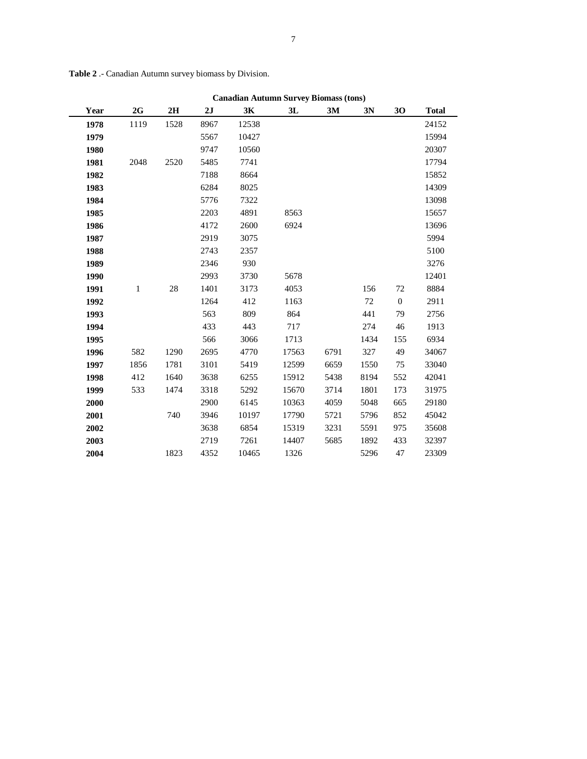|      | <b>Canadian Autumn Survey Biomass (tons)</b> |      |      |       |       |      |      |                  |              |  |
|------|----------------------------------------------|------|------|-------|-------|------|------|------------------|--------------|--|
| Year | 2G                                           | 2H   | 2J   | 3K    | 3L    | 3M   | 3N   | 30               | <b>Total</b> |  |
| 1978 | 1119                                         | 1528 | 8967 | 12538 |       |      |      |                  | 24152        |  |
| 1979 |                                              |      | 5567 | 10427 |       |      |      |                  | 15994        |  |
| 1980 |                                              |      | 9747 | 10560 |       |      |      |                  | 20307        |  |
| 1981 | 2048                                         | 2520 | 5485 | 7741  |       |      |      |                  | 17794        |  |
| 1982 |                                              |      | 7188 | 8664  |       |      |      |                  | 15852        |  |
| 1983 |                                              |      | 6284 | 8025  |       |      |      |                  | 14309        |  |
| 1984 |                                              |      | 5776 | 7322  |       |      |      |                  | 13098        |  |
| 1985 |                                              |      | 2203 | 4891  | 8563  |      |      |                  | 15657        |  |
| 1986 |                                              |      | 4172 | 2600  | 6924  |      |      |                  | 13696        |  |
| 1987 |                                              |      | 2919 | 3075  |       |      |      |                  | 5994         |  |
| 1988 |                                              |      | 2743 | 2357  |       |      |      |                  | 5100         |  |
| 1989 |                                              |      | 2346 | 930   |       |      |      |                  | 3276         |  |
| 1990 |                                              |      | 2993 | 3730  | 5678  |      |      |                  | 12401        |  |
| 1991 | $\mathbf{1}$                                 | 28   | 1401 | 3173  | 4053  |      | 156  | 72               | 8884         |  |
| 1992 |                                              |      | 1264 | 412   | 1163  |      | 72   | $\boldsymbol{0}$ | 2911         |  |
| 1993 |                                              |      | 563  | 809   | 864   |      | 441  | 79               | 2756         |  |
| 1994 |                                              |      | 433  | 443   | 717   |      | 274  | 46               | 1913         |  |
| 1995 |                                              |      | 566  | 3066  | 1713  |      | 1434 | 155              | 6934         |  |
| 1996 | 582                                          | 1290 | 2695 | 4770  | 17563 | 6791 | 327  | 49               | 34067        |  |
| 1997 | 1856                                         | 1781 | 3101 | 5419  | 12599 | 6659 | 1550 | 75               | 33040        |  |
| 1998 | 412                                          | 1640 | 3638 | 6255  | 15912 | 5438 | 8194 | 552              | 42041        |  |
| 1999 | 533                                          | 1474 | 3318 | 5292  | 15670 | 3714 | 1801 | 173              | 31975        |  |
| 2000 |                                              |      | 2900 | 6145  | 10363 | 4059 | 5048 | 665              | 29180        |  |
| 2001 |                                              | 740  | 3946 | 10197 | 17790 | 5721 | 5796 | 852              | 45042        |  |
| 2002 |                                              |      | 3638 | 6854  | 15319 | 3231 | 5591 | 975              | 35608        |  |
| 2003 |                                              |      | 2719 | 7261  | 14407 | 5685 | 1892 | 433              | 32397        |  |
| 2004 |                                              | 1823 | 4352 | 10465 | 1326  |      | 5296 | 47               | 23309        |  |

**Table 2** .- Canadian Autumn survey biomass by Division.

**Canadian Autumn Survey Biomass (tons)**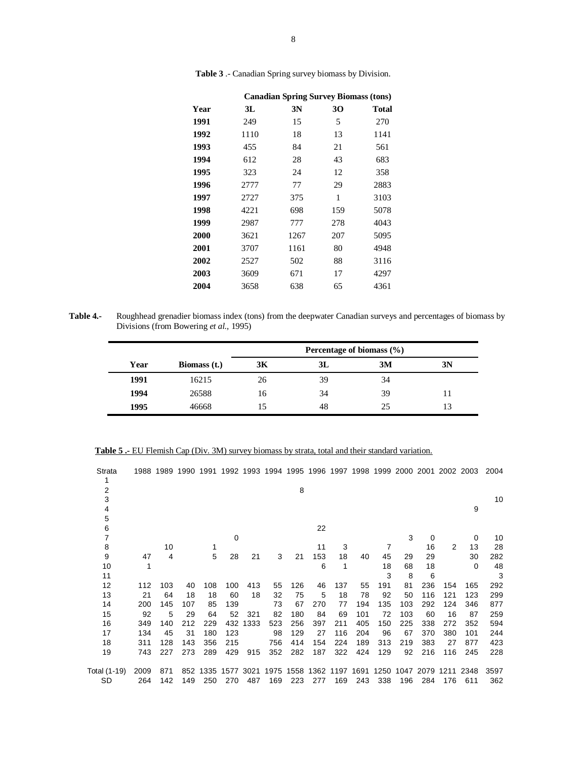|      | <b>Canadian Spring Survey Biomass (tons)</b> |      |     |       |  |  |  |  |  |  |
|------|----------------------------------------------|------|-----|-------|--|--|--|--|--|--|
| Year | 3L                                           | 3N   | 30  | Total |  |  |  |  |  |  |
| 1991 | 249                                          | 15   | 5   | 270   |  |  |  |  |  |  |
| 1992 | 1110                                         | 18   | 13  | 1141  |  |  |  |  |  |  |
| 1993 | 455                                          | 84   | 21  | 561   |  |  |  |  |  |  |
| 1994 | 612                                          | 28   | 43  | 683   |  |  |  |  |  |  |
| 1995 | 323                                          | 24   | 12  | 358   |  |  |  |  |  |  |
| 1996 | 2777                                         | 77   | 29  | 2883  |  |  |  |  |  |  |
| 1997 | 2727                                         | 375  | 1   | 3103  |  |  |  |  |  |  |
| 1998 | 4221                                         | 698  | 159 | 5078  |  |  |  |  |  |  |
| 1999 | 2987                                         | 777  | 278 | 4043  |  |  |  |  |  |  |
| 2000 | 3621                                         | 1267 | 207 | 5095  |  |  |  |  |  |  |
| 2001 | 3707                                         | 1161 | 80  | 4948  |  |  |  |  |  |  |
| 2002 | 2527                                         | 502  | 88  | 3116  |  |  |  |  |  |  |
| 2003 | 3609                                         | 671  | 17  | 4297  |  |  |  |  |  |  |
| 2004 | 3658                                         | 638  | 65  | 4361  |  |  |  |  |  |  |

**Table 3** .- Canadian Spring survey biomass by Division.

**Table 4.-** Roughhead grenadier biomass index (tons) from the deepwater Canadian surveys and percentages of biomass by Divisions (from Bowering *et al.,* 1995)

|      |              | Percentage of biomass $(\% )$ |    |    |    |  |  |  |  |
|------|--------------|-------------------------------|----|----|----|--|--|--|--|
| Year | Biomass (t.) | 3K                            | 3L | 3M | 3N |  |  |  |  |
| 1991 | 16215        | 26                            | 39 | 34 |    |  |  |  |  |
| 1994 | 26588        | 16                            | 34 | 39 | 11 |  |  |  |  |
| 1995 | 46668        |                               | 48 | 25 | 13 |  |  |  |  |

|--|

| Strata                |      |     |     |     |     |          |                                         |     |     |     |     |     |                     |          |     | 1988 1989 1990 1991 1992 1993 1994 1995 1996 1997 1998 1999 2000 2001 2002 2003 | 2004 |
|-----------------------|------|-----|-----|-----|-----|----------|-----------------------------------------|-----|-----|-----|-----|-----|---------------------|----------|-----|---------------------------------------------------------------------------------|------|
| 1<br>2<br>3<br>4<br>5 |      |     |     |     |     |          |                                         | 8   |     |     |     |     |                     |          |     | 9                                                                               | 10   |
| 6                     |      |     |     |     |     |          |                                         |     | 22  |     |     |     |                     |          |     |                                                                                 |      |
|                       |      |     |     |     | 0   |          |                                         |     |     |     |     |     | 3                   | $\Omega$ |     | 0                                                                               | 10   |
| 8                     |      | 10  |     | 1   |     |          |                                         |     | 11  | 3   |     | 7   |                     | 16       | 2   | 13                                                                              | 28   |
| 9                     | 47   | 4   |     | 5   | 28  | 21       | 3                                       | 21  | 153 | 18  | 40  | 45  | 29                  | 29       |     | 30                                                                              | 282  |
| 10                    |      |     |     |     |     |          |                                         |     | 6   | 1   |     | 18  | 68                  | 18       |     | $\Omega$                                                                        | 48   |
| 11                    |      |     |     |     |     |          |                                         |     |     |     |     | 3   | 8                   | 6        |     |                                                                                 | 3    |
| 12                    | 112  | 103 | 40  | 108 | 100 | 413      | 55                                      | 126 | 46  | 137 | 55  | 191 | 81                  | 236      | 154 | 165                                                                             | 292  |
| 13                    | 21   | 64  | 18  | 18  | 60  | 18       | 32                                      | 75  | 5   | 18  | 78  | 92  | 50                  | 116      | 121 | 123                                                                             | 299  |
| 14                    | 200  | 145 | 107 | 85  | 139 |          | 73                                      | 67  | 270 | 77  | 194 | 135 | 103                 | 292      | 124 | 346                                                                             | 877  |
| 15                    | 92   | 5   | 29  | 64  | 52  | 321      | 82                                      | 180 | 84  | 69  | 101 | 72  | 103                 | 60       | 16  | 87                                                                              | 259  |
| 16                    | 349  | 140 | 212 | 229 |     | 432 1333 | 523                                     | 256 | 397 | 211 | 405 | 150 | 225                 | 338      | 272 | 352                                                                             | 594  |
| 17                    | 134  | 45  | 31  | 180 | 123 |          | 98                                      | 129 | 27  | 116 | 204 | 96  | 67                  | 370      | 380 | 101                                                                             | 244  |
| 18                    | 311  | 128 | 143 | 356 | 215 |          | 756                                     | 414 | 154 | 224 | 189 | 313 | 219                 | 383      | 27  | 877                                                                             | 423  |
| 19                    | 743  | 227 | 273 | 289 | 429 | 915      | 352                                     | 282 | 187 | 322 | 424 | 129 | 92                  | 216      | 116 | 245                                                                             | 228  |
| Total (1-19)          | 2009 | 871 | 852 |     |     |          | 1335 1577 3021 1975 1558 1362 1197 1691 |     |     |     |     |     | 1250 1047 2079 1211 |          |     | 2348                                                                            | 3597 |
| SD                    | 264  | 142 | 149 | 250 | 270 | 487      | 169                                     | 223 | 277 | 169 | 243 | 338 | 196                 | 284      | 176 | 611                                                                             | 362  |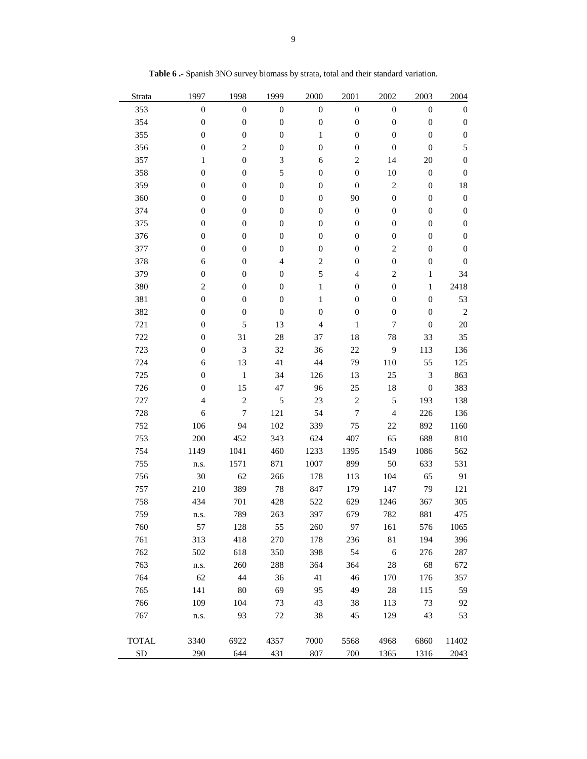| Strata       | 1997             | 1998             | 1999                     | 2000             | 2001             | 2002                     | 2003             | 2004             |
|--------------|------------------|------------------|--------------------------|------------------|------------------|--------------------------|------------------|------------------|
| 353          | $\boldsymbol{0}$ | $\boldsymbol{0}$ | $\boldsymbol{0}$         | $\boldsymbol{0}$ | $\boldsymbol{0}$ | $\boldsymbol{0}$         | $\boldsymbol{0}$ | $\boldsymbol{0}$ |
| 354          | $\boldsymbol{0}$ | $\boldsymbol{0}$ | $\boldsymbol{0}$         | $\boldsymbol{0}$ | $\boldsymbol{0}$ | $\boldsymbol{0}$         | $\boldsymbol{0}$ | 0                |
| 355          | $\boldsymbol{0}$ | $\boldsymbol{0}$ | $\boldsymbol{0}$         | $\mathbf{1}$     | $\boldsymbol{0}$ | $\boldsymbol{0}$         | $\boldsymbol{0}$ | $\boldsymbol{0}$ |
| 356          | $\boldsymbol{0}$ | $\overline{c}$   | $\boldsymbol{0}$         | $\boldsymbol{0}$ | $\boldsymbol{0}$ | $\boldsymbol{0}$         | $\boldsymbol{0}$ | 5                |
| 357          | $\mathbf{1}$     | $\boldsymbol{0}$ | 3                        | 6                | $\overline{c}$   | 14                       | 20               | $\boldsymbol{0}$ |
| 358          | $\boldsymbol{0}$ | $\boldsymbol{0}$ | 5                        | $\boldsymbol{0}$ | $\boldsymbol{0}$ | 10                       | $\boldsymbol{0}$ | 0                |
| 359          | $\boldsymbol{0}$ | $\boldsymbol{0}$ | $\boldsymbol{0}$         | $\boldsymbol{0}$ | $\boldsymbol{0}$ | $\overline{c}$           | $\boldsymbol{0}$ | 18               |
| 360          | $\boldsymbol{0}$ | $\boldsymbol{0}$ | $\boldsymbol{0}$         | $\boldsymbol{0}$ | 90               | $\boldsymbol{0}$         | $\boldsymbol{0}$ | $\boldsymbol{0}$ |
| 374          | $\boldsymbol{0}$ | $\boldsymbol{0}$ | $\boldsymbol{0}$         | $\boldsymbol{0}$ | $\boldsymbol{0}$ | $\boldsymbol{0}$         | $\boldsymbol{0}$ | $\boldsymbol{0}$ |
| 375          | $\boldsymbol{0}$ | $\boldsymbol{0}$ | $\boldsymbol{0}$         | $\boldsymbol{0}$ | $\boldsymbol{0}$ | $\boldsymbol{0}$         | $\boldsymbol{0}$ | $\boldsymbol{0}$ |
| 376          | $\mathbf{0}$     | $\boldsymbol{0}$ | $\boldsymbol{0}$         | $\boldsymbol{0}$ | $\boldsymbol{0}$ | $\boldsymbol{0}$         | $\boldsymbol{0}$ | 0                |
| 377          | $\boldsymbol{0}$ | $\boldsymbol{0}$ | $\boldsymbol{0}$         | $\boldsymbol{0}$ | $\boldsymbol{0}$ | $\overline{c}$           | $\boldsymbol{0}$ | 0                |
| 378          | 6                | $\boldsymbol{0}$ | $\overline{\mathcal{L}}$ | $\sqrt{2}$       | $\boldsymbol{0}$ | $\boldsymbol{0}$         | $\boldsymbol{0}$ | $\boldsymbol{0}$ |
| 379          | $\boldsymbol{0}$ | $\boldsymbol{0}$ | $\boldsymbol{0}$         | 5                | $\overline{4}$   | $\overline{c}$           | $\mathbf{1}$     | 34               |
| 380          | $\overline{c}$   | $\boldsymbol{0}$ | $\boldsymbol{0}$         | $\mathbf{1}$     | $\boldsymbol{0}$ | $\boldsymbol{0}$         | $\mathbf{1}$     | 2418             |
| 381          | $\mathbf{0}$     | $\boldsymbol{0}$ | $\boldsymbol{0}$         | 1                | $\boldsymbol{0}$ | $\boldsymbol{0}$         | $\boldsymbol{0}$ | 53               |
| 382          | $\boldsymbol{0}$ | $\boldsymbol{0}$ | $\boldsymbol{0}$         | $\boldsymbol{0}$ | $\boldsymbol{0}$ | $\boldsymbol{0}$         | $\boldsymbol{0}$ | $\sqrt{2}$       |
| 721          | $\boldsymbol{0}$ | 5                | 13                       | $\overline{4}$   | $\mathbf{1}$     | 7                        | $\boldsymbol{0}$ | 20               |
| 722          | $\boldsymbol{0}$ | 31               | 28                       | 37               | 18               | 78                       | 33               | 35               |
| 723          | $\boldsymbol{0}$ | 3                | 32                       | 36               | $22\,$           | 9                        | 113              | 136              |
| 724          | 6                | 13               | 41                       | 44               | 79               | 110                      | 55               | 125              |
| 725          | $\boldsymbol{0}$ | $\mathbf{1}$     | 34                       | 126              | 13               | 25                       | $\mathfrak{Z}$   | 863              |
| 726          | $\boldsymbol{0}$ | 15               | 47                       | 96               | 25               | 18                       | $\boldsymbol{0}$ | 383              |
| 727          | $\overline{4}$   | $\overline{c}$   | 5                        | 23               | $\sqrt{2}$       | 5                        | 193              | 138              |
| 728          | 6                | 7                | 121                      | 54               | $\boldsymbol{7}$ | $\overline{\mathcal{L}}$ | 226              | 136              |
| 752          | 106              | 94               | 102                      | 339              | 75               | 22                       | 892              | 1160             |
| 753          | 200              | 452              | 343                      | 624              | 407              | 65                       | 688              | 810              |
| 754          | 1149             | 1041             | 460                      | 1233             | 1395             | 1549                     | 1086             | 562              |
| 755          | n.s.             | 1571             | 871                      | 1007             | 899              | 50                       | 633              | 531              |
| 756          | 30               | 62               | 266                      | 178              | 113              | 104                      | 65               | 91               |
| 757          | 210              | 389              | $78\,$                   | 847              | 179              | 147                      | 79               | 121              |
| 758          | 434              | 701              | 428                      | 522              | 629              | 1246                     | 367              | 305              |
| 759          | n.s.             | 789              | 263                      | 397              | 679              | 782                      | 881              | 475              |
| 760          | 57               | 128              | 55                       | 260              | 97               | 161                      | 576              | 1065             |
| 761          | 313              | 418              | 270                      | 178              | 236              | 81                       | 194              | 396              |
| 762          | 502              | 618              | 350                      | 398              | 54               | $\sqrt{6}$               | 276              | 287              |
| 763          | n.s.             | 260              | 288                      | 364              | 364              | 28                       | 68               | 672              |
| 764          | 62               | 44               | 36                       | 41               | 46               | 170                      | 176              | 357              |
| 765          | 141              | 80               | 69                       | 95               | 49               | 28                       | 115              | 59               |
| 766          | 109              | 104              | 73                       | 43               | 38               | 113                      | 73               | 92               |
| 767          | n.s.             | 93               | $72\,$                   | 38               | 45               | 129                      | 43               | 53               |
|              |                  |                  |                          |                  |                  |                          |                  |                  |
| <b>TOTAL</b> | 3340             | 6922             | 4357                     | 7000             | 5568             | 4968                     | 6860             | 11402            |
| ${\rm SD}$   | 290              | 644              | 431                      | 807              | 700              | 1365                     | 1316             | 2043             |

**Table 6 .-** Spanish 3NO survey biomass by strata, total and their standard variation.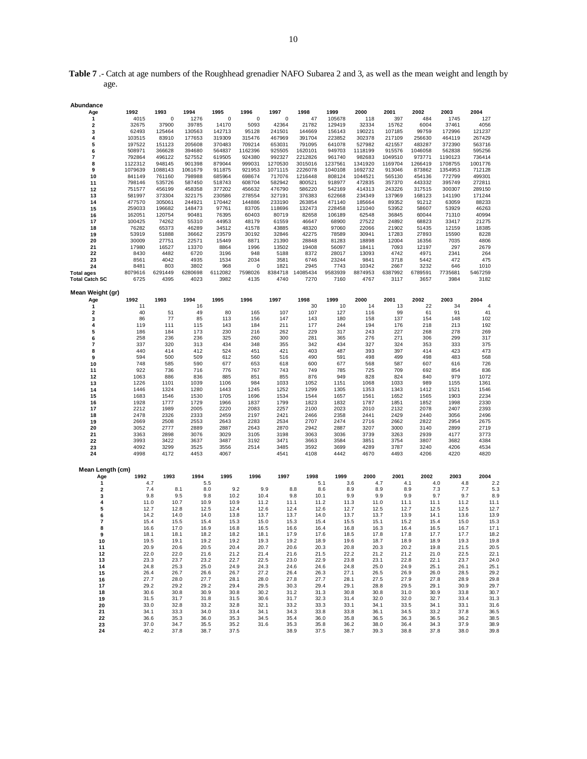**Table 7** .- Catch at age numbers of the Roughhead grenadier NAFO Subarea 2 and 3, as well as the mean weight and length by age.

| Abundance             |            |             |            |            |            |            |             |            |            |            |            |            |            |
|-----------------------|------------|-------------|------------|------------|------------|------------|-------------|------------|------------|------------|------------|------------|------------|
| Age                   | 1992       | 1993        | 1994       | 1995       | 1996       | 1997       | 1998        | 1999       | 2000       | 2001       | 2002       | 2003       | 2004       |
| 1                     | 4015       | $\mathbf 0$ | 1276       | 0          | 0          | 0          | 47          | 105678     | 118        | 397        | 484        | 1745       | 127        |
| $\overline{2}$        | 32675      | 37900       | 39785      | 14170      | 5093       | 42364      | 21782       | 129419     | 32334      | 15762      | 6004       | 37461      | 4056       |
| 3                     | 62493      | 125464      | 130563     | 142713     | 95128      | 241501     | 144669      | 156143     | 190221     | 107185     | 99759      | 172996     | 121237     |
| 4                     | 103515     | 83910       | 177653     | 319309     | 315476     | 467969     | 391704      | 223852     | 302378     | 217109     | 256630     | 464119     | 267429     |
| 5                     | 197522     | 151123      | 205608     | 370483     | 709214     | 653031     | 791095      | 641078     | 527982     | 421557     | 483287     | 372390     | 563716     |
| 6                     | 508971     | 366628      | 394680     | 564837     | 1162396    | 925505     | 1620101     | 949703     | 1118199    | 915576     | 1046058    | 562838     | 595256     |
| 7                     | 792864     | 496122      | 527552     | 619505     | 924380     | 992327     | 2212826     | 961740     | 982683     | 1049510    | 973771     | 1190123    | 736414     |
| 8                     | 1122312    | 948145      | 901398     | 879044     | 999031     | 1270530    | 3015016     | 1237561    | 1341920    | 1169704    | 1266419    | 1708755    | 1001776    |
| 9                     | 1079639    | 1088143     | 1061679    | 911875     | 921953     | 1071115    | 2226078     | 1040108    | 1692732    | 913046     | 873862     | 1354953    | 712128     |
| 10                    | 841149     | 761160      | 798988     | 685964     | 698674     | 717076     | 1216448     | 808124     | 1044521    | 565130     | 454136     | 772799     | 499301     |
| 11                    | 798146     | 535726      | 587450     | 518743     | 608704     | 582942     | 800521      | 918977     | 472835     | 357370     | 443332     | 395749     | 272811     |
| 12                    | 751577     | 456199      | 458358     | 377202     | 456632     | 476790     | 586220      | 542169     | 414313     | 243226     | 317515     | 300307     | 289150     |
| 13                    | 581997     | 373304      | 322175     | 230586     | 278554     | 327191     | 376383      | 622668     | 234349     | 137969     | 168123     | 141190     | 171244     |
| 14                    | 477570     | 305061      | 244921     | 170442     | 144886     | 233190     | 263854      | 471140     | 185664     | 89352      | 91212      | 63059      | 88233      |
| 15                    | 259033     | 196682      | 148473     | 97761      | 83705      | 118696     | 132473      | 228458     | 121040     | 53952      | 58607      | 53929      | 46263      |
| 16                    | 162051     | 120754      | 90481      | 76395      | 60403      | 80719      | 82658       | 106189     | 62548      | 36845      | 60044      | 71310      | 40994      |
| 17                    | 100425     | 74262       | 55310      | 44953      | 48179      | 61559      | 46647       | 68900      | 27522      | 24892      | 68823      | 33417      | 21275      |
| 18                    | 76282      | 65373       | 46289      | 34512      | 41578      | 43885      | 48320       | 97060      | 22066      | 21902      | 51435      | 12159      | 18385      |
| 19                    | 53919      | 51888       | 36662      | 23579      | 30192      | 32846      | 42275       | 78589      | 30941      | 17283      | 27893      | 15590      | 8228       |
| 20                    | 30009      | 27751       | 22571      | 15449      | 8871       | 21390      | 28848       | 81283      | 18898      | 12004      | 16356      | 7035       | 4806       |
| 21                    | 17980      | 16527       | 13370      | 8864       | 1996       | 13502      | 19408       | 56097      | 18411      | 7093       | 12197      | 297        | 2679       |
| 22                    | 8430       | 4482        | 6720       | 3196       | 948        | 5188       | 8372        | 28017      | 13093      | 4742       | 4971       | 2341       | 264        |
| 23                    | 8561       | 4042        | 4935       | 1534       | 2034       | 3581       | 6746        | 23244      | 9841       | 3718       | 5442       | 472        | 475        |
| 24                    | 8481       | 803         | 3802       | 968        | 0          | 1821       | 2945        | 7743       | 10342      | 2667       | 3232       | 646        | 1010       |
| <b>Total ages</b>     | 8079616    | 6291449     | 6280698    | 6112082    | 7598026    | 8384718    | 14085434    | 9583939    | 8874953    | 6387992    | 6789591    | 7735681    | 5467259    |
| <b>Total Catch SC</b> | 6725       | 4395        | 4023       | 3982       | 4135       | 4740       | 7270        | 7160       | 4767       | 3117       | 3657       | 3984       | 3182       |
|                       |            |             |            |            |            |            |             |            |            |            |            |            |            |
| Mean Weight (gr)      |            |             |            |            |            |            |             |            |            |            |            |            |            |
| Age                   | 1992       | 1993        | 1994       | 1995       | 1996       | 1997       | 1998        | 1999       | 2000       | 2001       | 2002       | 2003       | 2004       |
| 1                     | 11         |             | 16         |            |            |            | 30          | 10         | 14         | 13         | 22         | 34         | 4          |
| 2                     | 40<br>86   | 51<br>77    | 49<br>85   | 80<br>113  | 165<br>156 | 107<br>147 | 107<br>143  | 127<br>180 | 116<br>158 | 99<br>137  | 61<br>154  | 91<br>148  | 41<br>102  |
| 3                     |            |             |            |            |            |            |             |            |            |            |            |            |            |
| 4                     | 119<br>186 | 111<br>184  | 115<br>173 | 143<br>230 | 184<br>216 | 211<br>262 | 177<br>229  | 244<br>317 | 194<br>243 | 176<br>227 | 218<br>268 | 213<br>278 | 192<br>269 |
| 5                     | 258        | 236         |            | 325        | 260        | 300        |             | 365        |            | 271        |            | 299        | 317        |
| 6<br>7                | 337        | 320         | 236<br>313 | 434        | 348        | 355        | 281<br>342  | 434        | 276<br>327 | 324        | 306<br>353 | 333        | 375        |
| 8                     | 440        | 414         | 412        | 524        | 451        | 421        | 403         | 487        | 393        | 397        | 414        | 423        | 473        |
| 9                     | 594        | 500         | 509        | 612        | 560        | 516        | 490         | 591        | 498        | 499        | 498        | 483        | 568        |
| 10                    | 748        | 585         | 590        | 677        | 653        | 618        | 600         | 677        | 568        | 587        | 607        | 616        | 726        |
| 11                    | 922        | 736         | 716        | 776        | 767        | 743        | 749         | 785        | 725        | 709        | 692        | 854        | 836        |
| 12                    | 1063       | 886         | 836        | 885        | 851        | 855        | 876         | 949        | 828        | 824        | 840        | 979        | 1072       |
| 13                    | 1226       | 1101        | 1039       | 1106       | 984        | 1033       | 1052        | 1151       | 1068       | 1033       | 989        | 1155       | 1361       |
| 14                    | 1446       | 1324        | 1280       | 1443       | 1245       | 1252       | 1299        | 1305       | 1353       | 1343       | 1412       | 1521       | 1546       |
| 15                    | 1683       | 1546        | 1530       | 1705       | 1696       | 1534       | 1544        | 1657       | 1561       | 1652       | 1565       | 1903       | 2234       |
| 16                    | 1928       | 1777        | 1729       | 1966       | 1837       | 1799       | 1823        | 1832       | 1787       | 1851       | 1852       | 1998       | 2330       |
| 17                    | 2212       | 1989        | 2005       | 2220       | 2083       | 2257       | 2100        | 2023       | 2010       | 2132       | 2078       | 2407       | 2393       |
| 18                    | 2478       | 2326        | 2333       | 2459       | 2197       | 2421       | 2466        | 2358       | 2441       | 2429       | 2440       | 3056       | 2496       |
| 19                    | 2669       | 2508        | 2553       | 2643       | 2283       | 2534       | 2707        | 2474       | 2716       | 2662       | 2822       | 2954       | 2675       |
| 20                    | 3052       | 2777        | 2889       | 2887       | 2643       | 2870       | 2942        | 2887       | 3207       | 3000       | 3140       | 2899       | 2719       |
| 21                    | 3363       | 2898        | 3076       | 3029       | 3105       | 3198       | 3063        | 3036       | 3739       | 3263       | 2939       | 4177       | 3773       |
| 22                    | 3993       | 3422        | 3637       | 3487       | 3192       | 3471       | 3663        | 3584       | 3851       | 3754       | 3807       | 3682       | 4384       |
| 23                    | 4092       | 3299        | 3525       | 3556       | 2514       | 3485       | 3592        | 3699       | 4289       | 3787       | 3240       | 4206       | 4534       |
| 24                    | 4998       | 4172        | 4453       | 4067       |            | 4541       | 4108        | 4442       | 4670       | 4493       | 4206       | 4220       | 4820       |
|                       |            |             |            |            |            |            |             |            |            |            |            |            |            |
| Mean Length (cm)      |            |             |            |            |            |            |             |            |            |            |            |            |            |
| Age                   | 1992       | 1993        | 1994       | 1995       | 1996       | 1997       | 1998        | 1999       | 2000       | 2001       | 2002       | 2003       | 2004       |
| 1                     |            | 4.7         | 5.5        |            |            |            | 5.1         | 3.6        | 4.7        | 4.1        | 4.0        | 4.8        | 2.2        |
| 2                     | 7.4        | 8.1         | 8.0        | 9.2        | 9.9        |            | 8.8         | 8.6<br>8.9 | 8.9        | 8.9        | 7.3        | 7.7        | 5.3        |
| 3                     | 9.8        | 9.5         | 9.8        | 10.2       | 10.4       |            | 9.8<br>10.1 | 9.9        | 9.9        | 9.9        | 9.7        | 9.7        | 8.9        |
| 4                     | 11.0       | 10.7        | 10.9       | 10.9       | 11.2       | 11.1       | 11.2        | 11.3       | 11.0       | 11.1       | 11.1       | 11.2       | 11.1       |
| 5                     | 12.7       | 12.8        | 12.5       | 12.4       | 12.6       | 12.4       | 12.6        | 12.7       | 12.5       | 12.7       | 12.5       | 12.5       | 12.7       |
| 6                     | 14.2       | 14.0        | 14.0       | 13.8       | 13.7       | 13.7       | 14.0        | 13.7       | 13.7       | 13.9       | 14.1       | 13.6       | 13.9       |
| 7                     | 15.4       | 15.5        | 15.4       | 15.3       | 15.0       | 15.3       | 15.4        | 15.5       | 15.1       | 15.2       | 15.4       | 15.0       | 15.3       |
| 8                     | 16.6       | 17.0        | 16.9       | 16.8       | 16.5       | 16.6       | 16.4        | 16.8       | 16.3       | 16.4       | 16.5       | 16.7       | 17.1       |
| 9                     | 18.1       | 18.1        | 18.2       | 18.2       | 18.1       | 17.9       | 17.6        | 18.5       | 17.8       | 17.8       | 17.7       | 17.7       | 18.2       |
| 10                    | 19.5       | 19.1        | 19.2       | 19.2       | 19.3       | 19.2       | 18.9        | 19.6       | 18.7       | 18.9       | 18.9       | 19.3       | 19.8       |
| 11                    | 20.9       | 20.6        | 20.5       | 20.4       | 20.7       | 20.6       | 20.3        | 20.8       | 20.3       | 20.2       | 19.8       | 21.5       | 20.5       |
| 12                    | 22.0       | 22.0        | 21.6       | 21.2       | 21.4       | 21.6       | 21.5        | 22.2       | 21.2       | 21.2       | 21.0       | 22.5       | 22.1       |
| 13                    | 23.3       | 23.7        | 23.2       | 22.7       | 22.5       | 23.0       | 22.9        | 23.8       | 23.1       | 22.8       | 22.1       | 23.7       | 24.0       |
| 14                    | 24.8       | 25.3        | 25.0       | 24.9       | 24.3       | 24.6       | 24.6        | 24.8       | 25.0       | 24.9       | 25.1       | 26.1       | 25.1       |
| 15                    | 26.4       | 26.7        | 26.6       | 26.7       | 27.2       | 26.4       | 26.3        | 27.1       | 26.5       | 26.9       | 26.0       | 28.5       | 29.2       |
| 16                    | 27.7       | 28.0        | 27.7       | 28.1       | 28.0       | 27.8       | 27.7        | 28.1       | 27.5       | 27.9       | 27.8       | 28.9       | 29.8       |
| 17                    | 29.2       | 29.2        | 29.2       | 29.4       | 29.5       | 30.3       | 29.4        | 29.1       | 28.8       | 29.5       | 29.1       | 30.9       | 29.7       |
| 18                    | 30.6       | 30.8        | 30.9       | 30.8       | 30.2       | 31.2       | 31.3        | 30.8       | 30.8       | 31.0       | 30.9       | 33.8       | 30.7       |
| 19                    | 31.5       | 31.7        | 31.8       | 31.5       | 30.6       | 31.7       | 32.3        | 31.4       | 32.0       | 32.0       | 32.7       | 33.4       | 31.3       |
| 20                    | 33.0       | 32.8        | 33.2       | 32.8       | 32.1       | 33.2       | 33.3        | 33.1       | 34.1       | 33.5       | 34.1       | 33.1       | 31.6       |
| 21                    | 34.1       | 33.3        | 34.0       | 33.4       | 34.1       | 34.3       | 33.8        | 33.8       | 36.1       | 34.5       | 33.2       | 37.8       | 36.5       |
| 22                    | 36.6       | 35.3        | 36.0       | 35.3       | 34.5       | 35.4       | 36.0        | 35.8       | 36.5       | 36.3       | 36.5       | 36.2       | 38.5       |
| 23                    | 37.0       | 34.7        | 35.5       | 35.2       | 31.6       | 35.3       | 35.8        | 36.2       | 38.0       | 36.4       | 34.3       | 37.9       | 38.9       |
| 24                    | 40.2       | 37.8        | 38.7       | 37.5       |            | 38.9       | 37.5        | 38.7       | 39.3       | 38.8       | 37.8       | 38.0       | 39.8       |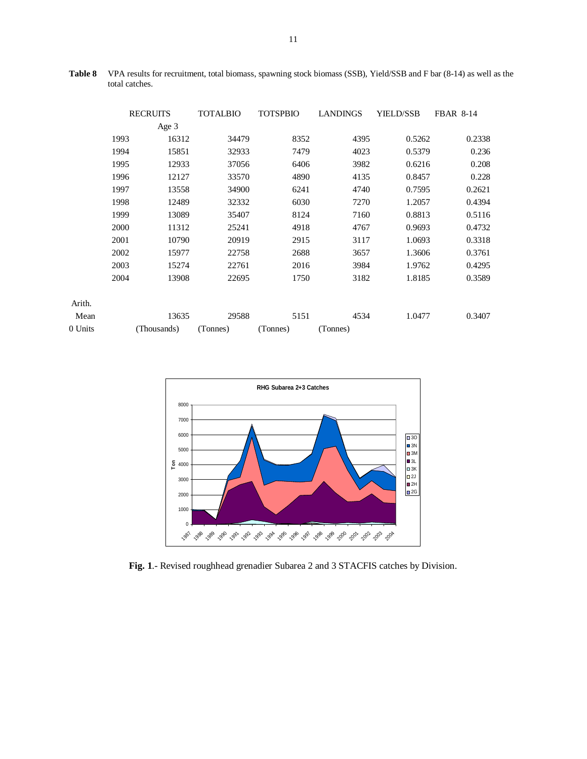|         | <b>RECRUITS</b> |             | <b>TOTALBIO</b> | <b>TOTSPBIO</b> | <b>LANDINGS</b> | <b>YIELD/SSB</b> | <b>FBAR 8-14</b> |
|---------|-----------------|-------------|-----------------|-----------------|-----------------|------------------|------------------|
|         |                 | Age 3       |                 |                 |                 |                  |                  |
|         | 1993            | 16312       | 34479           | 8352            | 4395            | 0.5262           | 0.2338           |
|         | 1994            | 15851       | 32933           | 7479            | 4023            | 0.5379           | 0.236            |
|         | 1995            | 12933       | 37056           | 6406            | 3982            | 0.6216           | 0.208            |
|         | 1996            | 12127       | 33570           | 4890            | 4135            | 0.8457           | 0.228            |
|         | 1997            | 13558       | 34900           | 6241            | 4740            | 0.7595           | 0.2621           |
|         | 1998            | 12489       | 32332           | 6030            | 7270            | 1.2057           | 0.4394           |
|         | 1999            | 13089       | 35407           | 8124            | 7160            | 0.8813           | 0.5116           |
|         | 2000            | 11312       | 25241           | 4918            | 4767            | 0.9693           | 0.4732           |
|         | 2001            | 10790       | 20919           | 2915            | 3117            | 1.0693           | 0.3318           |
|         | 2002            | 15977       | 22758           | 2688            | 3657            | 1.3606           | 0.3761           |
|         | 2003            | 15274       | 22761           | 2016            | 3984            | 1.9762           | 0.4295           |
|         | 2004            | 13908       | 22695           | 1750            | 3182            | 1.8185           | 0.3589           |
| Arith.  |                 |             |                 |                 |                 |                  |                  |
| Mean    |                 | 13635       | 29588           | 5151            | 4534            | 1.0477           | 0.3407           |
| 0 Units |                 | (Thousands) | (Tonnes)        | (Tonnes)        | (Tonnes)        |                  |                  |

**Table 8** VPA results for recruitment, total biomass, spawning stock biomass (SSB), Yield/SSB and F bar (8-14) as well as the total catches.



**Fig. 1**.- Revised roughhead grenadier Subarea 2 and 3 STACFIS catches by Division.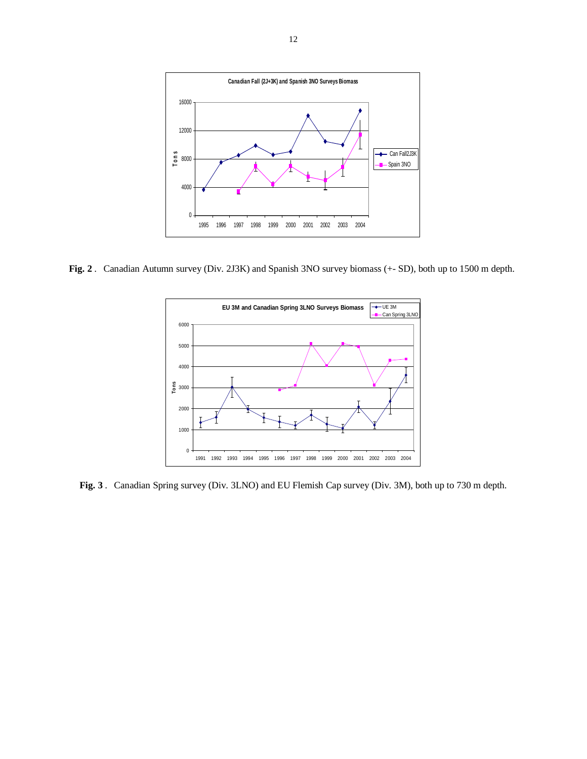

**Fig. 2** . Canadian Autumn survey (Div. 2J3K) and Spanish 3NO survey biomass (+- SD), both up to 1500 m depth.



**Fig. 3** . Canadian Spring survey (Div. 3LNO) and EU Flemish Cap survey (Div. 3M), both up to 730 m depth.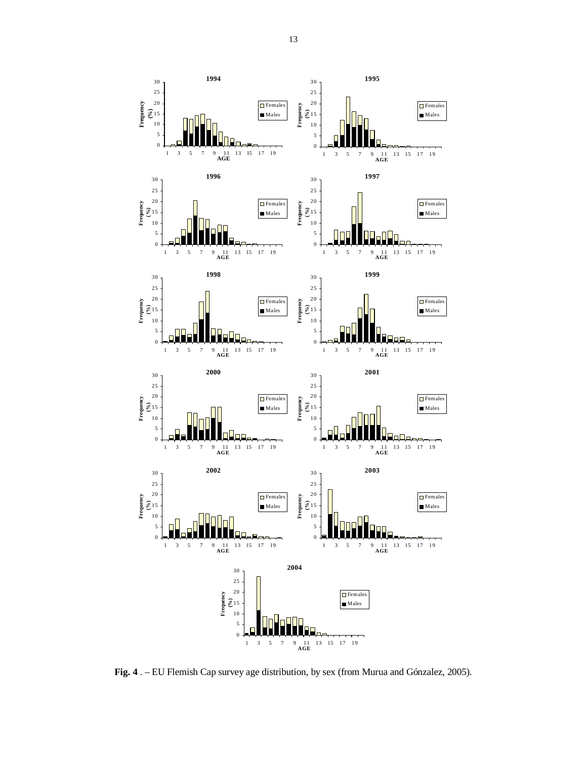**Fig. 4** . – EU Flemish Cap survey age distribution, by sex (from Murua and Gónzalez, 2005).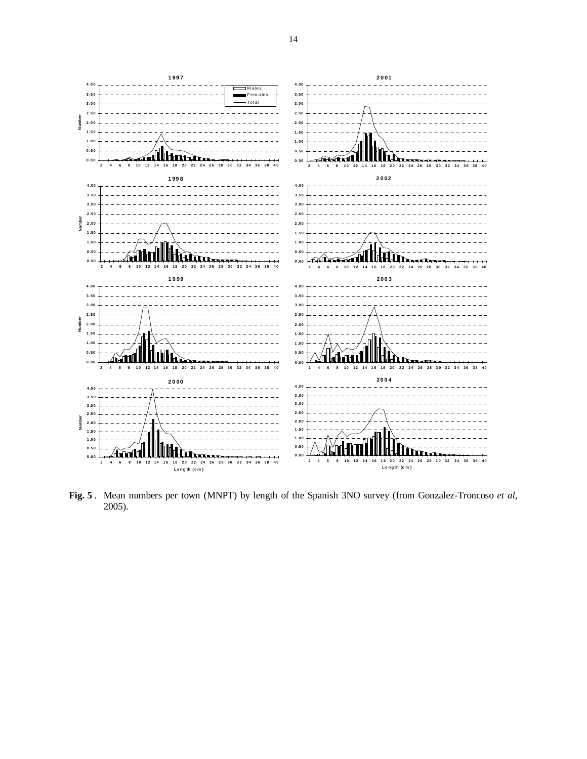

**Fig. 5** . Mean numbers per town (MNPT) by length of the Spanish 3NO survey (from Gonzalez-Troncoso *et al*, 2005).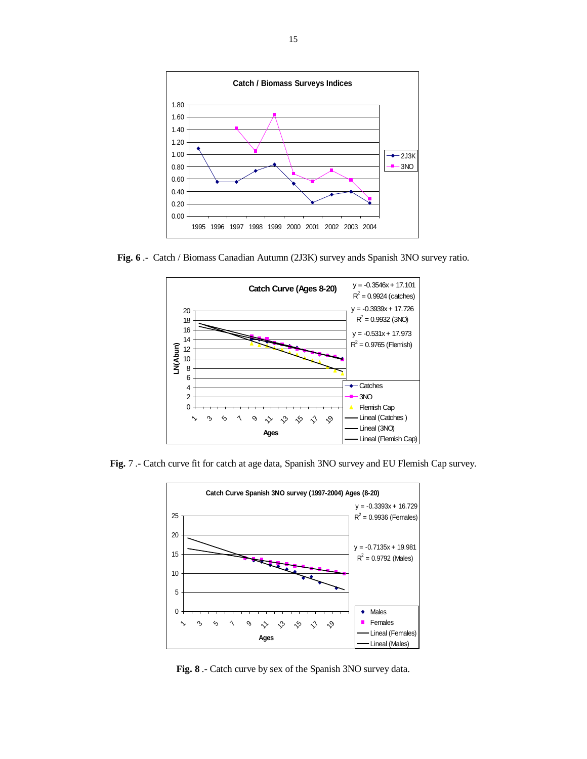

**Fig. 6** .- Catch / Biomass Canadian Autumn (2J3K) survey ands Spanish 3NO survey ratio.



**Fig.** 7 .- Catch curve fit for catch at age data, Spanish 3NO survey and EU Flemish Cap survey.



**Fig. 8** .- Catch curve by sex of the Spanish 3NO survey data.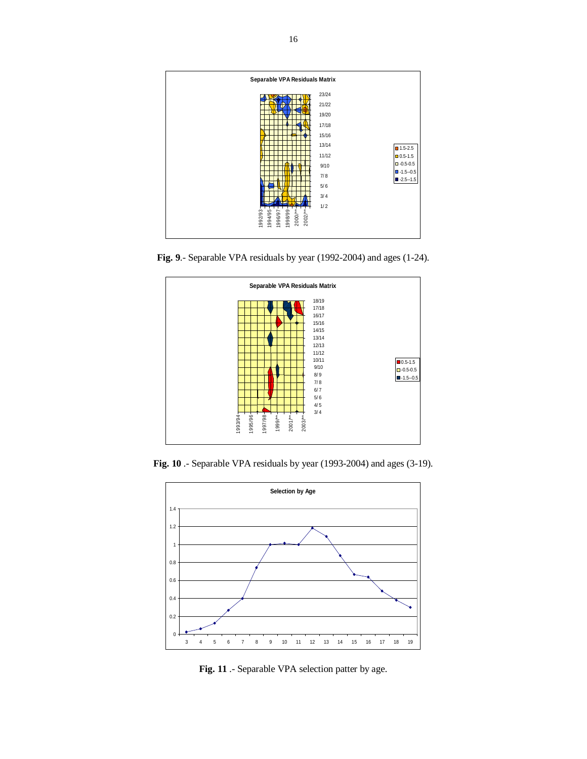

**Fig. 9**.- Separable VPA residuals by year (1992-2004) and ages (1-24).



**Fig. 10** .- Separable VPA residuals by year (1993-2004) and ages (3-19).



**Fig. 11** .- Separable VPA selection patter by age.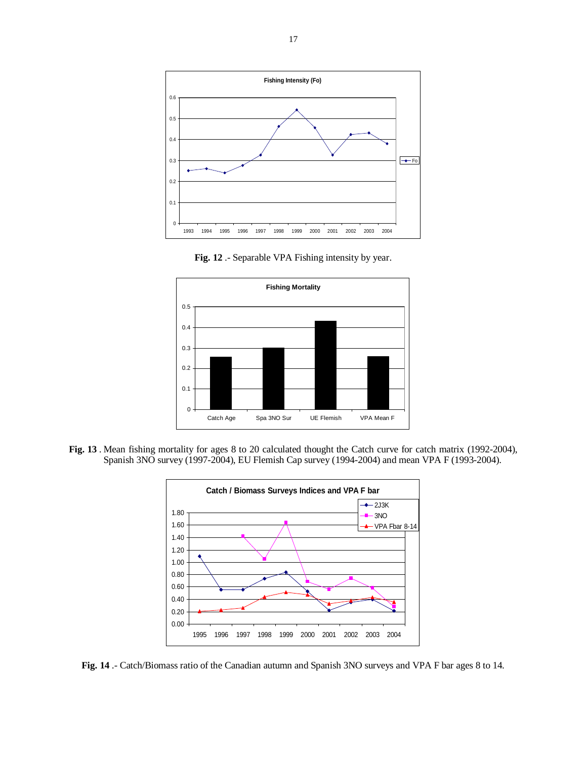

**Fig. 12** .- Separable VPA Fishing intensity by year.



**Fig. 13** . Mean fishing mortality for ages 8 to 20 calculated thought the Catch curve for catch matrix (1992-2004), Spanish 3NO survey (1997-2004), EU Flemish Cap survey (1994-2004) and mean VPA F (1993-2004).



**Fig. 14** .- Catch/Biomass ratio of the Canadian autumn and Spanish 3NO surveys and VPA F bar ages 8 to 14.